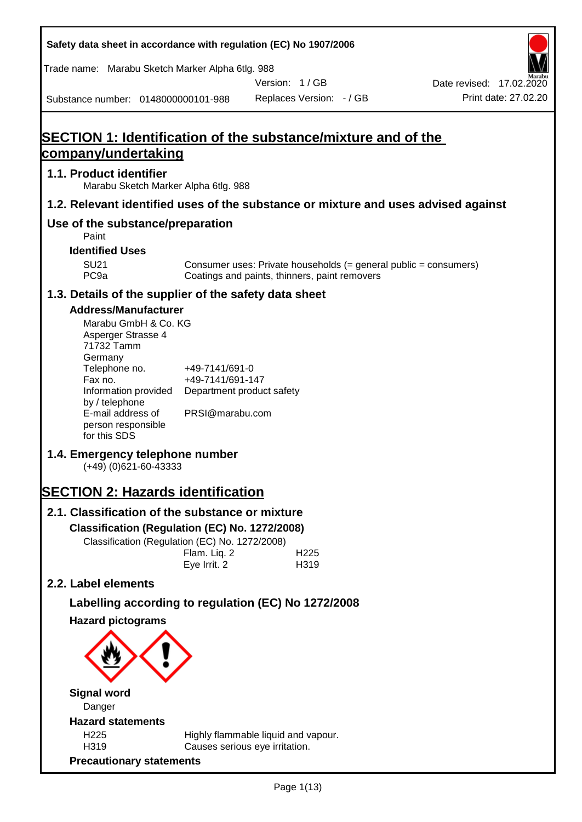**Safety data sheet in accordance with regulation (EC) No 1907/2006** Substance number: 0148000000101-988 Version: 1 / GB Replaces Version: - / GB Print date: 27.02.20 Date revised: 17.02.2020 Trade name: Marabu Sketch Marker Alpha 6tlg. 988 **SECTION 1: Identification of the substance/mixture and of the company/undertaking 1.1. Product identifier** Marabu Sketch Marker Alpha 6tlg. 988 **1.2. Relevant identified uses of the substance or mixture and uses advised against Use of the substance/preparation** Paint **Identified Uses** SU21 Consumer uses: Private households (= general public = consumers)<br>PC9a Coatings and paints, thinners, paint removers Coatings and paints, thinners, paint removers **1.3. Details of the supplier of the safety data sheet Address/Manufacturer** Marabu GmbH & Co. KG Asperger Strasse 4 71732 Tamm **Germany** Telephone no. +49-7141/691-0 Fax no.  $+49-7141/691-147$ Information provided Department product safety by / telephone E-mail address of person responsible for this SDS PRSI@marabu.com **1.4. Emergency telephone number** (+49) (0)621-60-43333 **SECTION 2: Hazards identification 2.1. Classification of the substance or mixture Classification (Regulation (EC) No. 1272/2008)** Classification (Regulation (EC) No. 1272/2008) Flam. Liq. 2 H225 Eye Irrit. 2 H319 **2.2. Label elements Labelling according to regulation (EC) No 1272/2008 Hazard pictograms Signal word** Danger **Hazard statements** H225 Highly flammable liquid and vapour. H319 Causes serious eye irritation. **Precautionary statements**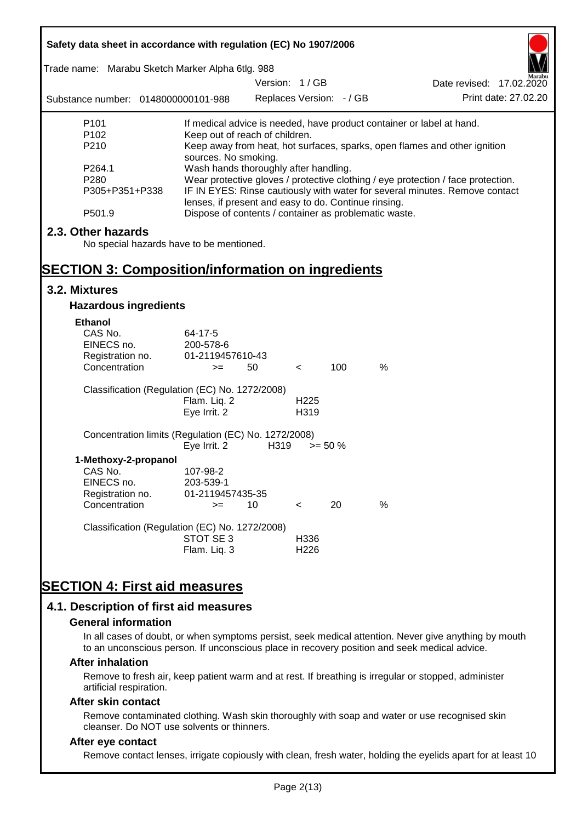| Safety data sheet in accordance with regulation (EC) No 1907/2006                                                                                                                                                                         |                                                               |                          |                  |            |               |                                                                           |
|-------------------------------------------------------------------------------------------------------------------------------------------------------------------------------------------------------------------------------------------|---------------------------------------------------------------|--------------------------|------------------|------------|---------------|---------------------------------------------------------------------------|
| Trade name: Marabu Sketch Marker Alpha 6tlg. 988                                                                                                                                                                                          |                                                               |                          |                  |            |               |                                                                           |
|                                                                                                                                                                                                                                           |                                                               | Version: 1/GB            |                  |            |               | Date revised: 17.02.2020                                                  |
| Substance number: 0148000000101-988                                                                                                                                                                                                       |                                                               | Replaces Version: - / GB |                  |            |               | Print date: 27.02.20                                                      |
| P <sub>101</sub>                                                                                                                                                                                                                          |                                                               |                          |                  |            |               | If medical advice is needed, have product container or label at hand.     |
| P <sub>102</sub>                                                                                                                                                                                                                          | Keep out of reach of children.                                |                          |                  |            |               |                                                                           |
| P210                                                                                                                                                                                                                                      |                                                               |                          |                  |            |               | Keep away from heat, hot surfaces, sparks, open flames and other ignition |
| P264.1                                                                                                                                                                                                                                    | sources. No smoking.<br>Wash hands thoroughly after handling. |                          |                  |            |               |                                                                           |
| P280                                                                                                                                                                                                                                      |                                                               |                          |                  |            |               |                                                                           |
| Wear protective gloves / protective clothing / eye protection / face protection.<br>P305+P351+P338<br>IF IN EYES: Rinse cautiously with water for several minutes. Remove contact<br>lenses, if present and easy to do. Continue rinsing. |                                                               |                          |                  |            |               |                                                                           |
| P501.9                                                                                                                                                                                                                                    | Dispose of contents / container as problematic waste.         |                          |                  |            |               |                                                                           |
| 2.3. Other hazards                                                                                                                                                                                                                        |                                                               |                          |                  |            |               |                                                                           |
| No special hazards have to be mentioned.                                                                                                                                                                                                  |                                                               |                          |                  |            |               |                                                                           |
|                                                                                                                                                                                                                                           |                                                               |                          |                  |            |               |                                                                           |
| <b>SECTION 3: Composition/information on ingredients</b>                                                                                                                                                                                  |                                                               |                          |                  |            |               |                                                                           |
| 3.2. Mixtures                                                                                                                                                                                                                             |                                                               |                          |                  |            |               |                                                                           |
| <b>Hazardous ingredients</b>                                                                                                                                                                                                              |                                                               |                          |                  |            |               |                                                                           |
| <b>Ethanol</b>                                                                                                                                                                                                                            |                                                               |                          |                  |            |               |                                                                           |
| CAS No.                                                                                                                                                                                                                                   | 64-17-5                                                       |                          |                  |            |               |                                                                           |
| EINECS no.                                                                                                                                                                                                                                | 200-578-6                                                     |                          |                  |            |               |                                                                           |
| Registration no.                                                                                                                                                                                                                          | 01-2119457610-43                                              |                          |                  |            |               |                                                                           |
| Concentration                                                                                                                                                                                                                             | $>=$                                                          | 50                       | $\lt$            | 100        | $\frac{0}{0}$ |                                                                           |
| Classification (Regulation (EC) No. 1272/2008)                                                                                                                                                                                            |                                                               |                          |                  |            |               |                                                                           |
|                                                                                                                                                                                                                                           | Flam. Liq. 2                                                  |                          | H <sub>225</sub> |            |               |                                                                           |
|                                                                                                                                                                                                                                           | Eye Irrit. 2                                                  |                          | H319             |            |               |                                                                           |
| Concentration limits (Regulation (EC) No. 1272/2008)                                                                                                                                                                                      |                                                               |                          |                  |            |               |                                                                           |
|                                                                                                                                                                                                                                           | Eye Irrit. 2                                                  | H319                     |                  | $>= 50 \%$ |               |                                                                           |
| 1-Methoxy-2-propanol                                                                                                                                                                                                                      |                                                               |                          |                  |            |               |                                                                           |
| CAS No.                                                                                                                                                                                                                                   | 107-98-2                                                      |                          |                  |            |               |                                                                           |
| EINECS no.                                                                                                                                                                                                                                | 203-539-1                                                     |                          |                  |            |               |                                                                           |
| Registration no.                                                                                                                                                                                                                          | 01-2119457435-35                                              |                          |                  |            |               |                                                                           |
| Concentration                                                                                                                                                                                                                             | $>=$                                                          | 10                       | $\,<\,$          | 20         | %             |                                                                           |
| Classification (Regulation (EC) No. 1272/2008)                                                                                                                                                                                            |                                                               |                          |                  |            |               |                                                                           |
|                                                                                                                                                                                                                                           | STOT SE 3                                                     |                          | H336             |            |               |                                                                           |
|                                                                                                                                                                                                                                           | Flam. Liq. 3                                                  |                          | H226             |            |               |                                                                           |
|                                                                                                                                                                                                                                           |                                                               |                          |                  |            |               |                                                                           |
| <b>SECTION 4: First aid measures</b>                                                                                                                                                                                                      |                                                               |                          |                  |            |               |                                                                           |
|                                                                                                                                                                                                                                           |                                                               |                          |                  |            |               |                                                                           |
| 4.1. Description of first aid measures                                                                                                                                                                                                    |                                                               |                          |                  |            |               |                                                                           |

#### **General information**

In all cases of doubt, or when symptoms persist, seek medical attention. Never give anything by mouth to an unconscious person. If unconscious place in recovery position and seek medical advice.

#### **After inhalation**

Remove to fresh air, keep patient warm and at rest. If breathing is irregular or stopped, administer artificial respiration.

#### **After skin contact**

Remove contaminated clothing. Wash skin thoroughly with soap and water or use recognised skin cleanser. Do NOT use solvents or thinners.

### **After eye contact**

Remove contact lenses, irrigate copiously with clean, fresh water, holding the eyelids apart for at least 10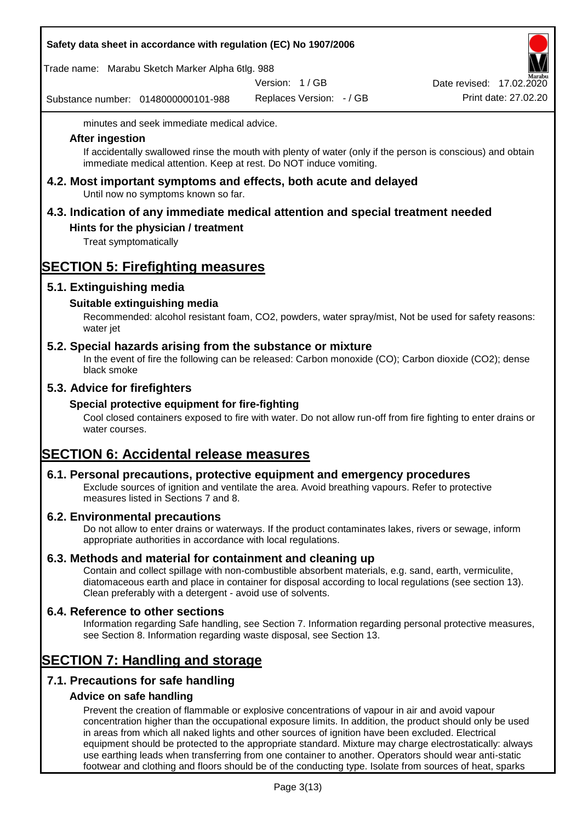|  | Safety data sheet in accordance with regulation (EC) No 1907/2006 |  |
|--|-------------------------------------------------------------------|--|
|--|-------------------------------------------------------------------|--|

Trade name: Marabu Sketch Marker Alpha 6tlg. 988

Version: 1 / GB

Substance number: 0148000000101-988

Replaces Version: - / GB Print date: 27.02.20 Date revised: 17.02.2020

minutes and seek immediate medical advice.

#### **After ingestion**

If accidentally swallowed rinse the mouth with plenty of water (only if the person is conscious) and obtain immediate medical attention. Keep at rest. Do NOT induce vomiting.

**4.2. Most important symptoms and effects, both acute and delayed** Until now no symptoms known so far.

# **4.3. Indication of any immediate medical attention and special treatment needed**

## **Hints for the physician / treatment**

Treat symptomatically

# **SECTION 5: Firefighting measures**

## **5.1. Extinguishing media**

## **Suitable extinguishing media**

Recommended: alcohol resistant foam, CO2, powders, water spray/mist, Not be used for safety reasons: water jet

### **5.2. Special hazards arising from the substance or mixture**

In the event of fire the following can be released: Carbon monoxide (CO); Carbon dioxide (CO2); dense black smoke

## **5.3. Advice for firefighters**

#### **Special protective equipment for fire-fighting**

Cool closed containers exposed to fire with water. Do not allow run-off from fire fighting to enter drains or water courses.

# **SECTION 6: Accidental release measures**

#### **6.1. Personal precautions, protective equipment and emergency procedures**

Exclude sources of ignition and ventilate the area. Avoid breathing vapours. Refer to protective measures listed in Sections 7 and 8.

#### **6.2. Environmental precautions**

Do not allow to enter drains or waterways. If the product contaminates lakes, rivers or sewage, inform appropriate authorities in accordance with local regulations.

#### **6.3. Methods and material for containment and cleaning up**

Contain and collect spillage with non-combustible absorbent materials, e.g. sand, earth, vermiculite, diatomaceous earth and place in container for disposal according to local regulations (see section 13). Clean preferably with a detergent - avoid use of solvents.

#### **6.4. Reference to other sections**

Information regarding Safe handling, see Section 7. Information regarding personal protective measures, see Section 8. Information regarding waste disposal, see Section 13.

# **SECTION 7: Handling and storage**

# **7.1. Precautions for safe handling**

#### **Advice on safe handling**

Prevent the creation of flammable or explosive concentrations of vapour in air and avoid vapour concentration higher than the occupational exposure limits. In addition, the product should only be used in areas from which all naked lights and other sources of ignition have been excluded. Electrical equipment should be protected to the appropriate standard. Mixture may charge electrostatically: always use earthing leads when transferring from one container to another. Operators should wear anti-static footwear and clothing and floors should be of the conducting type. Isolate from sources of heat, sparks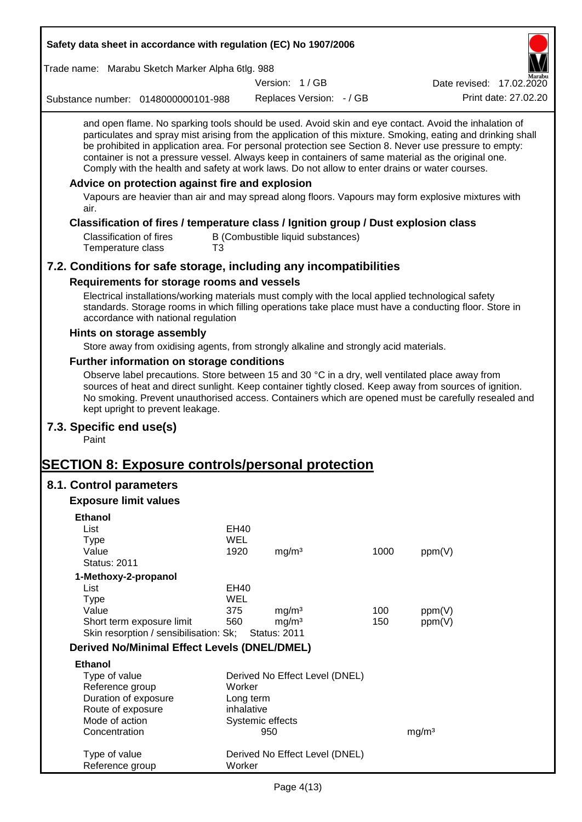| Safety data sheet in accordance with regulation (EC) No 1907/2006                                                                                                                                                                                                                                                                                                                                                                                                                                                                                                                                                                                                                                         |            |                                        |                                   |            |                          |
|-----------------------------------------------------------------------------------------------------------------------------------------------------------------------------------------------------------------------------------------------------------------------------------------------------------------------------------------------------------------------------------------------------------------------------------------------------------------------------------------------------------------------------------------------------------------------------------------------------------------------------------------------------------------------------------------------------------|------------|----------------------------------------|-----------------------------------|------------|--------------------------|
| Trade name: Marabu Sketch Marker Alpha 6tlg. 988                                                                                                                                                                                                                                                                                                                                                                                                                                                                                                                                                                                                                                                          |            |                                        |                                   |            |                          |
|                                                                                                                                                                                                                                                                                                                                                                                                                                                                                                                                                                                                                                                                                                           |            | Version: 1/GB                          |                                   |            | Date revised: 17.02.2020 |
| Substance number: 0148000000101-988                                                                                                                                                                                                                                                                                                                                                                                                                                                                                                                                                                                                                                                                       |            |                                        | Replaces Version: - / GB          |            | Print date: 27.02.20     |
| and open flame. No sparking tools should be used. Avoid skin and eye contact. Avoid the inhalation of<br>particulates and spray mist arising from the application of this mixture. Smoking, eating and drinking shall<br>be prohibited in application area. For personal protection see Section 8. Never use pressure to empty:<br>container is not a pressure vessel. Always keep in containers of same material as the original one.<br>Comply with the health and safety at work laws. Do not allow to enter drains or water courses.<br>Advice on protection against fire and explosion<br>Vapours are heavier than air and may spread along floors. Vapours may form explosive mixtures with<br>air. |            |                                        |                                   |            |                          |
|                                                                                                                                                                                                                                                                                                                                                                                                                                                                                                                                                                                                                                                                                                           |            |                                        |                                   |            |                          |
| Classification of fires / temperature class / Ignition group / Dust explosion class<br><b>Classification of fires</b><br>Temperature class<br>T3                                                                                                                                                                                                                                                                                                                                                                                                                                                                                                                                                          |            |                                        | B (Combustible liquid substances) |            |                          |
| 7.2. Conditions for safe storage, including any incompatibilities                                                                                                                                                                                                                                                                                                                                                                                                                                                                                                                                                                                                                                         |            |                                        |                                   |            |                          |
| Requirements for storage rooms and vessels                                                                                                                                                                                                                                                                                                                                                                                                                                                                                                                                                                                                                                                                |            |                                        |                                   |            |                          |
| Electrical installations/working materials must comply with the local applied technological safety<br>standards. Storage rooms in which filling operations take place must have a conducting floor. Store in<br>accordance with national regulation                                                                                                                                                                                                                                                                                                                                                                                                                                                       |            |                                        |                                   |            |                          |
| Hints on storage assembly                                                                                                                                                                                                                                                                                                                                                                                                                                                                                                                                                                                                                                                                                 |            |                                        |                                   |            |                          |
| Store away from oxidising agents, from strongly alkaline and strongly acid materials.                                                                                                                                                                                                                                                                                                                                                                                                                                                                                                                                                                                                                     |            |                                        |                                   |            |                          |
| Further information on storage conditions                                                                                                                                                                                                                                                                                                                                                                                                                                                                                                                                                                                                                                                                 |            |                                        |                                   |            |                          |
| Observe label precautions. Store between 15 and 30 °C in a dry, well ventilated place away from<br>sources of heat and direct sunlight. Keep container tightly closed. Keep away from sources of ignition.<br>No smoking. Prevent unauthorised access. Containers which are opened must be carefully resealed and<br>kept upright to prevent leakage.                                                                                                                                                                                                                                                                                                                                                     |            |                                        |                                   |            |                          |
| 7.3. Specific end use(s)<br>Paint                                                                                                                                                                                                                                                                                                                                                                                                                                                                                                                                                                                                                                                                         |            |                                        |                                   |            |                          |
| <b>SECTION 8: Exposure controls/personal protection</b>                                                                                                                                                                                                                                                                                                                                                                                                                                                                                                                                                                                                                                                   |            |                                        |                                   |            |                          |
| 8.1. Control parameters                                                                                                                                                                                                                                                                                                                                                                                                                                                                                                                                                                                                                                                                                   |            |                                        |                                   |            |                          |
| <b>Exposure limit values</b>                                                                                                                                                                                                                                                                                                                                                                                                                                                                                                                                                                                                                                                                              |            |                                        |                                   |            |                          |
|                                                                                                                                                                                                                                                                                                                                                                                                                                                                                                                                                                                                                                                                                                           |            |                                        |                                   |            |                          |
| <b>Ethanol</b><br>List                                                                                                                                                                                                                                                                                                                                                                                                                                                                                                                                                                                                                                                                                    | EH40       |                                        |                                   |            |                          |
| <b>Type</b>                                                                                                                                                                                                                                                                                                                                                                                                                                                                                                                                                                                                                                                                                               | <b>WEL</b> |                                        |                                   |            |                          |
| Value                                                                                                                                                                                                                                                                                                                                                                                                                                                                                                                                                                                                                                                                                                     | 1920       | mg/m <sup>3</sup>                      |                                   | 1000       | ppm(V)                   |
| <b>Status: 2011</b>                                                                                                                                                                                                                                                                                                                                                                                                                                                                                                                                                                                                                                                                                       |            |                                        |                                   |            |                          |
| 1-Methoxy-2-propanol                                                                                                                                                                                                                                                                                                                                                                                                                                                                                                                                                                                                                                                                                      |            |                                        |                                   |            |                          |
| List                                                                                                                                                                                                                                                                                                                                                                                                                                                                                                                                                                                                                                                                                                      | EH40       |                                        |                                   |            |                          |
| <b>Type</b>                                                                                                                                                                                                                                                                                                                                                                                                                                                                                                                                                                                                                                                                                               | <b>WEL</b> |                                        |                                   |            |                          |
| Value<br>Short term exposure limit                                                                                                                                                                                                                                                                                                                                                                                                                                                                                                                                                                                                                                                                        | 375<br>560 | mg/m <sup>3</sup><br>mg/m <sup>3</sup> |                                   | 100<br>150 | ppm(V)<br>ppm(V)         |
| Skin resorption / sensibilisation: Sk;                                                                                                                                                                                                                                                                                                                                                                                                                                                                                                                                                                                                                                                                    |            | <b>Status: 2011</b>                    |                                   |            |                          |
| <b>Derived No/Minimal Effect Levels (DNEL/DMEL)</b>                                                                                                                                                                                                                                                                                                                                                                                                                                                                                                                                                                                                                                                       |            |                                        |                                   |            |                          |
| <b>Ethanol</b>                                                                                                                                                                                                                                                                                                                                                                                                                                                                                                                                                                                                                                                                                            |            |                                        |                                   |            |                          |
| Type of value                                                                                                                                                                                                                                                                                                                                                                                                                                                                                                                                                                                                                                                                                             |            |                                        | Derived No Effect Level (DNEL)    |            |                          |
| Reference group                                                                                                                                                                                                                                                                                                                                                                                                                                                                                                                                                                                                                                                                                           | Worker     |                                        |                                   |            |                          |
| Duration of exposure                                                                                                                                                                                                                                                                                                                                                                                                                                                                                                                                                                                                                                                                                      | Long term  |                                        |                                   |            |                          |
| Route of exposure                                                                                                                                                                                                                                                                                                                                                                                                                                                                                                                                                                                                                                                                                         | inhalative |                                        |                                   |            |                          |
| Mode of action                                                                                                                                                                                                                                                                                                                                                                                                                                                                                                                                                                                                                                                                                            |            | Systemic effects                       |                                   |            |                          |
| Concentration                                                                                                                                                                                                                                                                                                                                                                                                                                                                                                                                                                                                                                                                                             |            | 950                                    |                                   |            | mg/m <sup>3</sup>        |
| Type of value<br>Reference group                                                                                                                                                                                                                                                                                                                                                                                                                                                                                                                                                                                                                                                                          | Worker     |                                        | Derived No Effect Level (DNEL)    |            |                          |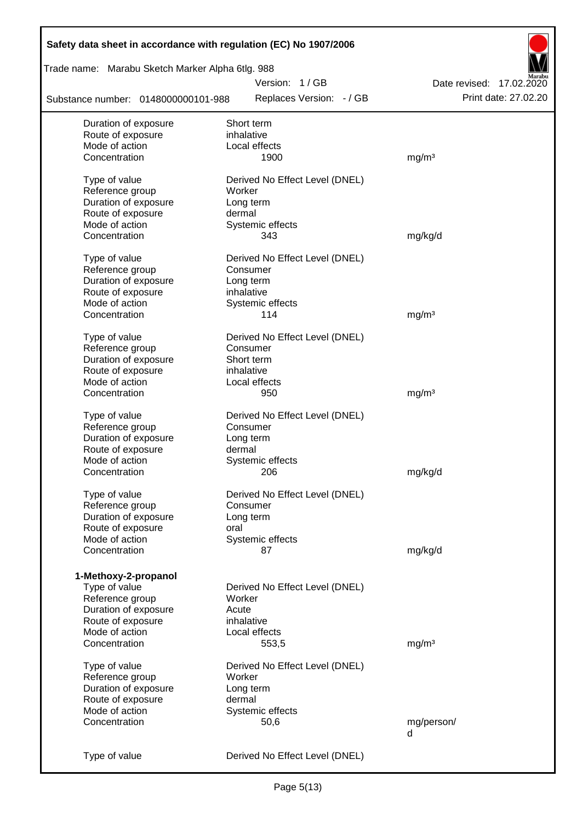| Safety data sheet in accordance with regulation (EC) No 1907/2006 |                                |                          |
|-------------------------------------------------------------------|--------------------------------|--------------------------|
| Trade name: Marabu Sketch Marker Alpha 6tlg. 988                  |                                |                          |
|                                                                   | Version: 1/GB                  | Date revised: 17.02.2020 |
| Substance number: 0148000000101-988                               | Replaces Version: - / GB       | Print date: 27.02.20     |
| Duration of exposure                                              | Short term                     |                          |
| Route of exposure                                                 | inhalative                     |                          |
| Mode of action                                                    | Local effects                  |                          |
| Concentration                                                     | 1900                           | mg/m <sup>3</sup>        |
| Type of value                                                     | Derived No Effect Level (DNEL) |                          |
| Reference group                                                   | Worker                         |                          |
| Duration of exposure                                              | Long term                      |                          |
| Route of exposure                                                 | dermal                         |                          |
| Mode of action                                                    | Systemic effects               |                          |
| Concentration                                                     | 343                            | mg/kg/d                  |
| Type of value                                                     | Derived No Effect Level (DNEL) |                          |
| Reference group                                                   | Consumer                       |                          |
| Duration of exposure                                              | Long term                      |                          |
| Route of exposure                                                 | inhalative                     |                          |
| Mode of action                                                    | Systemic effects               |                          |
| Concentration                                                     | 114                            | mg/m <sup>3</sup>        |
| Type of value                                                     | Derived No Effect Level (DNEL) |                          |
| Reference group                                                   | Consumer                       |                          |
| Duration of exposure                                              | Short term                     |                          |
| Route of exposure                                                 | inhalative                     |                          |
| Mode of action                                                    | Local effects                  |                          |
| Concentration                                                     | 950                            | mg/m <sup>3</sup>        |
|                                                                   |                                |                          |
| Type of value                                                     | Derived No Effect Level (DNEL) |                          |
| Reference group                                                   | Consumer                       |                          |
| Duration of exposure                                              | Long term                      |                          |
| Route of exposure                                                 | dermal                         |                          |
| Mode of action                                                    | Systemic effects               |                          |
| Concentration                                                     | 206                            | mg/kg/d                  |
| Type of value                                                     | Derived No Effect Level (DNEL) |                          |
| Reference group                                                   | Consumer                       |                          |
| Duration of exposure                                              | Long term                      |                          |
| Route of exposure                                                 | oral                           |                          |
| Mode of action                                                    | Systemic effects               |                          |
| Concentration                                                     | 87                             | mg/kg/d                  |
| 1-Methoxy-2-propanol                                              |                                |                          |
| Type of value                                                     | Derived No Effect Level (DNEL) |                          |
| Reference group                                                   | Worker                         |                          |
| Duration of exposure                                              | Acute                          |                          |
| Route of exposure                                                 | inhalative                     |                          |
| Mode of action                                                    | Local effects                  |                          |
| Concentration                                                     | 553,5                          |                          |
|                                                                   |                                | mg/m <sup>3</sup>        |
| Type of value                                                     | Derived No Effect Level (DNEL) |                          |
| Reference group                                                   | Worker                         |                          |
| Duration of exposure                                              | Long term                      |                          |
| Route of exposure                                                 | dermal                         |                          |
| Mode of action                                                    | Systemic effects               |                          |
| Concentration                                                     | 50,6                           | mg/person/               |
|                                                                   |                                | d                        |
| Type of value                                                     | Derived No Effect Level (DNEL) |                          |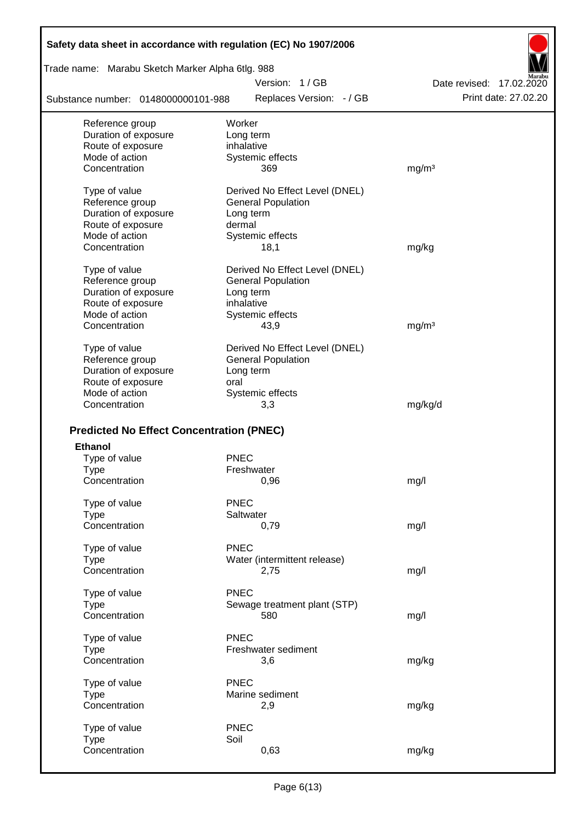| Safety data sheet in accordance with regulation (EC) No 1907/2006 |                                |                          |
|-------------------------------------------------------------------|--------------------------------|--------------------------|
| Trade name: Marabu Sketch Marker Alpha 6tlg. 988                  |                                |                          |
|                                                                   | Version: 1/GB                  | Date revised: 17,02,2020 |
| Substance number: 0148000000101-988                               | Replaces Version: - / GB       | Print date: 27.02.20     |
| Reference group                                                   | Worker                         |                          |
| Duration of exposure                                              | Long term                      |                          |
| Route of exposure                                                 | inhalative                     |                          |
| Mode of action                                                    | Systemic effects               |                          |
| Concentration                                                     | 369                            | mg/m <sup>3</sup>        |
| Type of value                                                     | Derived No Effect Level (DNEL) |                          |
| Reference group                                                   | <b>General Population</b>      |                          |
| Duration of exposure                                              | Long term                      |                          |
| Route of exposure                                                 | dermal                         |                          |
| Mode of action                                                    | Systemic effects               |                          |
| Concentration                                                     | 18,1                           | mg/kg                    |
| Type of value                                                     | Derived No Effect Level (DNEL) |                          |
| Reference group                                                   | <b>General Population</b>      |                          |
| Duration of exposure                                              | Long term                      |                          |
| Route of exposure                                                 | inhalative                     |                          |
| Mode of action                                                    | Systemic effects               |                          |
| Concentration                                                     | 43,9                           | mg/m <sup>3</sup>        |
| Type of value                                                     | Derived No Effect Level (DNEL) |                          |
| Reference group                                                   | <b>General Population</b>      |                          |
| Duration of exposure                                              | Long term                      |                          |
| Route of exposure                                                 | oral                           |                          |
| Mode of action                                                    | Systemic effects               |                          |
| Concentration                                                     | 3,3                            | mg/kg/d                  |
|                                                                   |                                |                          |
| <b>Predicted No Effect Concentration (PNEC)</b>                   |                                |                          |
| <b>Ethanol</b>                                                    |                                |                          |
| Type of value                                                     | <b>PNEC</b>                    |                          |
| Type<br>Concentration                                             | Freshwater<br>0,96             |                          |
|                                                                   |                                | mg/l                     |
| Type of value                                                     | <b>PNEC</b>                    |                          |
| <b>Type</b>                                                       | Saltwater                      |                          |
| Concentration                                                     | 0,79                           | mg/l                     |
| Type of value                                                     | <b>PNEC</b>                    |                          |
| <b>Type</b>                                                       | Water (intermittent release)   |                          |
| Concentration                                                     | 2,75                           | mg/l                     |
| Type of value                                                     | <b>PNEC</b>                    |                          |
| <b>Type</b>                                                       | Sewage treatment plant (STP)   |                          |
| Concentration                                                     | 580                            | mg/l                     |
| Type of value                                                     | <b>PNEC</b>                    |                          |
| <b>Type</b>                                                       | Freshwater sediment            |                          |
| Concentration                                                     | 3,6                            | mg/kg                    |
|                                                                   | <b>PNEC</b>                    |                          |
| Type of value                                                     | Marine sediment                |                          |
| <b>Type</b><br>Concentration                                      | 2,9                            |                          |
|                                                                   |                                | mg/kg                    |
| Type of value                                                     | <b>PNEC</b>                    |                          |
| <b>Type</b>                                                       | Soil                           |                          |
| Concentration                                                     | 0,63                           | mg/kg                    |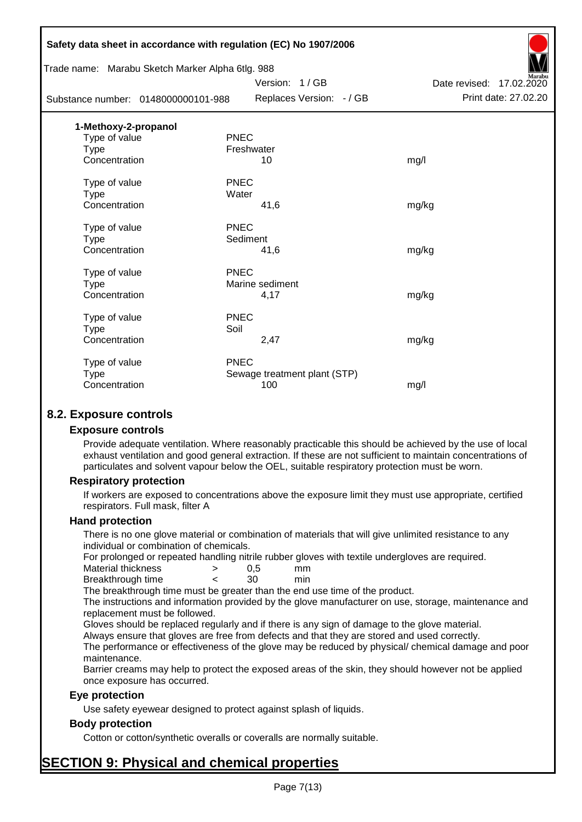|                      | Safety data sheet in accordance with regulation (EC) No 1907/2006 |                              |                          |
|----------------------|-------------------------------------------------------------------|------------------------------|--------------------------|
|                      | Trade name: Marabu Sketch Marker Alpha 6tlg. 988                  |                              |                          |
|                      |                                                                   | Version: 1/GB                | Date revised: 17.02.2020 |
|                      | Substance number: 0148000000101-988                               | Replaces Version: - / GB     | Print date: 27.02.20     |
| 1-Methoxy-2-propanol |                                                                   |                              |                          |
| Type of value        | <b>PNEC</b>                                                       |                              |                          |
| <b>Type</b>          |                                                                   | Freshwater                   |                          |
| Concentration        |                                                                   | 10                           | mg/l                     |
| Type of value        | <b>PNEC</b>                                                       |                              |                          |
| <b>Type</b>          | Water                                                             |                              |                          |
| Concentration        |                                                                   | 41,6                         | mg/kg                    |
| Type of value        | <b>PNEC</b>                                                       |                              |                          |
| <b>Type</b>          | Sediment                                                          |                              |                          |
| Concentration        |                                                                   | 41,6                         | mg/kg                    |
| Type of value        | <b>PNEC</b>                                                       |                              |                          |
| <b>Type</b>          |                                                                   | Marine sediment              |                          |
| Concentration        |                                                                   | 4,17                         | mg/kg                    |
| Type of value        | <b>PNEC</b>                                                       |                              |                          |
| <b>Type</b>          | Soil                                                              |                              |                          |
| Concentration        |                                                                   | 2,47                         | mg/kg                    |
| Type of value        | <b>PNEC</b>                                                       |                              |                          |
| <b>Type</b>          |                                                                   | Sewage treatment plant (STP) |                          |
| Concentration        |                                                                   | 100                          | mg/l                     |
|                      |                                                                   |                              |                          |

# **8.2. Exposure controls**

#### **Exposure controls**

Provide adequate ventilation. Where reasonably practicable this should be achieved by the use of local exhaust ventilation and good general extraction. If these are not sufficient to maintain concentrations of particulates and solvent vapour below the OEL, suitable respiratory protection must be worn.

#### **Respiratory protection**

If workers are exposed to concentrations above the exposure limit they must use appropriate, certified respirators. Full mask, filter A

#### **Hand protection**

There is no one glove material or combination of materials that will give unlimited resistance to any individual or combination of chemicals.

For prolonged or repeated handling nitrile rubber gloves with textile undergloves are required.

| Material thickness | 0.5 | mm  |
|--------------------|-----|-----|
| Breakthrough time  | 30  | min |

The breakthrough time must be greater than the end use time of the product.

The instructions and information provided by the glove manufacturer on use, storage, maintenance and replacement must be followed.

Gloves should be replaced regularly and if there is any sign of damage to the glove material.

Always ensure that gloves are free from defects and that they are stored and used correctly.

The performance or effectiveness of the glove may be reduced by physical/ chemical damage and poor maintenance.

Barrier creams may help to protect the exposed areas of the skin, they should however not be applied once exposure has occurred.

#### **Eye protection**

Use safety eyewear designed to protect against splash of liquids.

#### **Body protection**

Cotton or cotton/synthetic overalls or coveralls are normally suitable.

# **SECTION 9: Physical and chemical properties**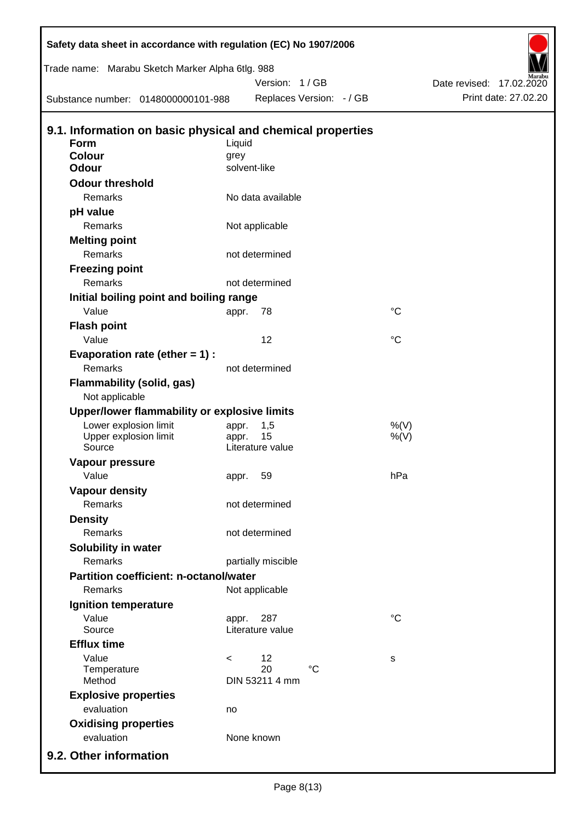| Safety data sheet in accordance with regulation (EC) No 1907/2006 |          |                          |                 |                          |
|-------------------------------------------------------------------|----------|--------------------------|-----------------|--------------------------|
| Trade name: Marabu Sketch Marker Alpha 6tlg. 988                  |          |                          |                 |                          |
|                                                                   |          | Version: 1/GB            |                 | Date revised: 17.02.2020 |
| Substance number: 0148000000101-988                               |          | Replaces Version: - / GB |                 | Print date: 27.02.20     |
| 9.1. Information on basic physical and chemical properties        |          |                          |                 |                          |
| <b>Form</b>                                                       | Liquid   |                          |                 |                          |
| <b>Colour</b>                                                     | grey     |                          |                 |                          |
| <b>Odour</b>                                                      |          | solvent-like             |                 |                          |
| <b>Odour threshold</b>                                            |          |                          |                 |                          |
| Remarks                                                           |          | No data available        |                 |                          |
| pH value                                                          |          |                          |                 |                          |
| Remarks                                                           |          | Not applicable           |                 |                          |
| <b>Melting point</b>                                              |          |                          |                 |                          |
| Remarks                                                           |          | not determined           |                 |                          |
| <b>Freezing point</b>                                             |          |                          |                 |                          |
| Remarks                                                           |          | not determined           |                 |                          |
| Initial boiling point and boiling range                           |          |                          |                 |                          |
| Value                                                             | appr.    | 78                       | $^{\circ}C$     |                          |
| <b>Flash point</b>                                                |          |                          |                 |                          |
| Value                                                             |          | 12                       | $^{\circ}C$     |                          |
| Evaporation rate (ether $= 1$ ) :                                 |          |                          |                 |                          |
| Remarks                                                           |          | not determined           |                 |                          |
| Flammability (solid, gas)<br>Not applicable                       |          |                          |                 |                          |
| Upper/lower flammability or explosive limits                      |          |                          |                 |                          |
| Lower explosion limit                                             | appr.    | 1,5                      | %(V)            |                          |
| Upper explosion limit                                             | appr.    | 15                       | $%$ (V)         |                          |
| Source                                                            |          | Literature value         |                 |                          |
| Vapour pressure                                                   |          |                          |                 |                          |
| Value                                                             | appr. 59 |                          | hPa             |                          |
| <b>Vapour density</b>                                             |          |                          |                 |                          |
| Remarks                                                           |          | not determined           |                 |                          |
| <b>Density</b>                                                    |          |                          |                 |                          |
| Remarks                                                           |          | not determined           |                 |                          |
| Solubility in water                                               |          |                          |                 |                          |
| Remarks                                                           |          | partially miscible       |                 |                          |
| <b>Partition coefficient: n-octanol/water</b>                     |          |                          |                 |                          |
| Remarks                                                           |          | Not applicable           |                 |                          |
| Ignition temperature                                              |          |                          |                 |                          |
| Value                                                             | appr.    | 287                      | $\rm ^{\circ}C$ |                          |
| Source                                                            |          | Literature value         |                 |                          |
| <b>Efflux time</b>                                                |          |                          |                 |                          |
| Value<br>Temperature                                              | $\lt$    | 12<br>20<br>$^{\circ}C$  | s               |                          |
| Method                                                            |          | DIN 53211 4 mm           |                 |                          |
| <b>Explosive properties</b>                                       |          |                          |                 |                          |
| evaluation                                                        | no       |                          |                 |                          |
| <b>Oxidising properties</b>                                       |          |                          |                 |                          |
| evaluation                                                        |          | None known               |                 |                          |
| 9.2. Other information                                            |          |                          |                 |                          |
|                                                                   |          |                          |                 |                          |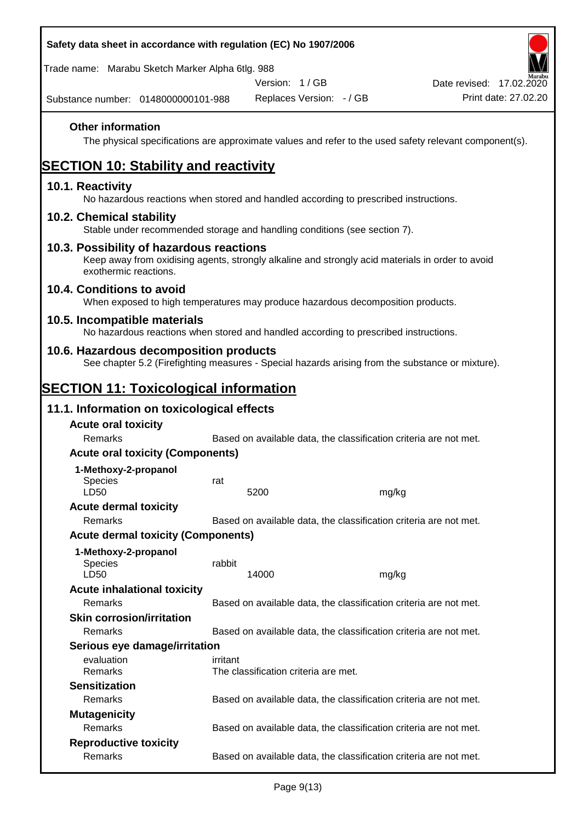| Safety data sheet in accordance with regulation (EC) No 1907/2006                                                                                                     |          |                                      |                                                                   |                          |  |
|-----------------------------------------------------------------------------------------------------------------------------------------------------------------------|----------|--------------------------------------|-------------------------------------------------------------------|--------------------------|--|
| Trade name: Marabu Sketch Marker Alpha 6tlg. 988                                                                                                                      |          |                                      |                                                                   |                          |  |
|                                                                                                                                                                       |          | Version: 1/GB                        |                                                                   | Date revised: 17.02.2020 |  |
| Substance number: 0148000000101-988                                                                                                                                   |          | Replaces Version: - / GB             |                                                                   | Print date: 27.02.20     |  |
| <b>Other information</b><br>The physical specifications are approximate values and refer to the used safety relevant component(s).                                    |          |                                      |                                                                   |                          |  |
| <b>SECTION 10: Stability and reactivity</b>                                                                                                                           |          |                                      |                                                                   |                          |  |
| 10.1. Reactivity<br>No hazardous reactions when stored and handled according to prescribed instructions.                                                              |          |                                      |                                                                   |                          |  |
| 10.2. Chemical stability<br>Stable under recommended storage and handling conditions (see section 7).                                                                 |          |                                      |                                                                   |                          |  |
| 10.3. Possibility of hazardous reactions<br>Keep away from oxidising agents, strongly alkaline and strongly acid materials in order to avoid<br>exothermic reactions. |          |                                      |                                                                   |                          |  |
| 10.4. Conditions to avoid<br>When exposed to high temperatures may produce hazardous decomposition products.                                                          |          |                                      |                                                                   |                          |  |
| 10.5. Incompatible materials<br>No hazardous reactions when stored and handled according to prescribed instructions.                                                  |          |                                      |                                                                   |                          |  |
| 10.6. Hazardous decomposition products<br>See chapter 5.2 (Firefighting measures - Special hazards arising from the substance or mixture).                            |          |                                      |                                                                   |                          |  |
| <b>SECTION 11: Toxicological information</b>                                                                                                                          |          |                                      |                                                                   |                          |  |
| 11.1. Information on toxicological effects                                                                                                                            |          |                                      |                                                                   |                          |  |
| <b>Acute oral toxicity</b>                                                                                                                                            |          |                                      |                                                                   |                          |  |
|                                                                                                                                                                       |          |                                      |                                                                   |                          |  |
| Remarks                                                                                                                                                               |          |                                      | Based on available data, the classification criteria are not met. |                          |  |
| <b>Acute oral toxicity (Components)</b>                                                                                                                               |          |                                      |                                                                   |                          |  |
| 1-Methoxy-2-propanol                                                                                                                                                  |          |                                      |                                                                   |                          |  |
| <b>Species</b>                                                                                                                                                        | rat      |                                      |                                                                   |                          |  |
| LD50                                                                                                                                                                  |          | 5200                                 | mg/kg                                                             |                          |  |
| <b>Acute dermal toxicity</b><br>Remarks                                                                                                                               |          |                                      | Based on available data, the classification criteria are not met. |                          |  |
| <b>Acute dermal toxicity (Components)</b>                                                                                                                             |          |                                      |                                                                   |                          |  |
| 1-Methoxy-2-propanol<br>Species<br>LD50                                                                                                                               | rabbit   | 14000                                |                                                                   |                          |  |
|                                                                                                                                                                       |          |                                      | mg/kg                                                             |                          |  |
| <b>Acute inhalational toxicity</b><br>Remarks                                                                                                                         |          |                                      | Based on available data, the classification criteria are not met. |                          |  |
| <b>Skin corrosion/irritation</b>                                                                                                                                      |          |                                      |                                                                   |                          |  |
| Remarks                                                                                                                                                               |          |                                      | Based on available data, the classification criteria are not met. |                          |  |
| Serious eye damage/irritation                                                                                                                                         |          |                                      |                                                                   |                          |  |
| evaluation<br>Remarks                                                                                                                                                 | irritant | The classification criteria are met. |                                                                   |                          |  |
| <b>Sensitization</b>                                                                                                                                                  |          |                                      |                                                                   |                          |  |
| Remarks                                                                                                                                                               |          |                                      | Based on available data, the classification criteria are not met. |                          |  |
| <b>Mutagenicity</b>                                                                                                                                                   |          |                                      |                                                                   |                          |  |
| Remarks<br><b>Reproductive toxicity</b>                                                                                                                               |          |                                      | Based on available data, the classification criteria are not met. |                          |  |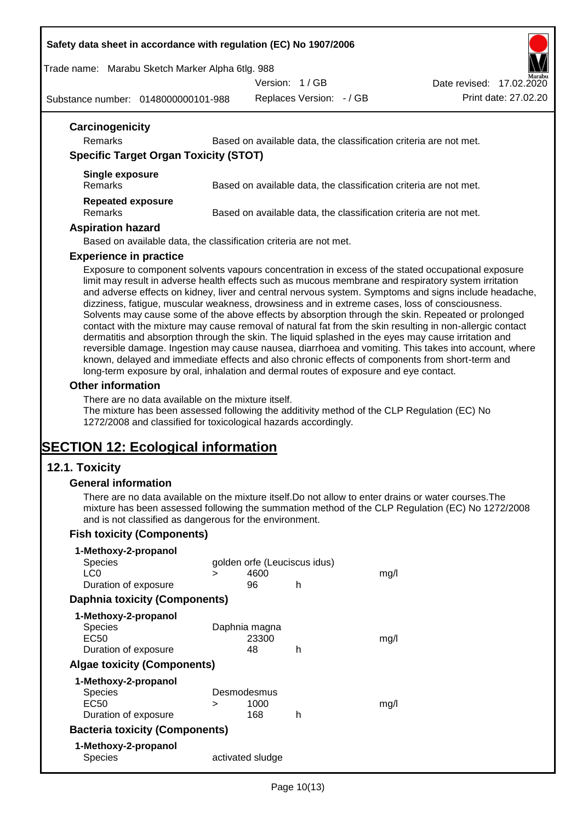#### **Safety data sheet in accordance with regulation (EC) No 1907/2006**

Trade name: Marabu Sketch Marker Alpha 6tlg. 988

Version: 1 / GB

Replaces Version: - / GB Print date: 27.02.20 Date revised: 17.02.2020

Substance number: 0148000000101-988

| Carcinogenicity<br>Remarks<br><b>Specific Target Organ Toxicity (STOT)</b> | Based on available data, the classification criteria are not met. |
|----------------------------------------------------------------------------|-------------------------------------------------------------------|
| Single exposure<br>Remarks                                                 | Based on available data, the classification criteria are not met. |
| <b>Repeated exposure</b><br>Remarks<br><b>Aspiration hazard</b>            | Based on available data, the classification criteria are not met. |

Based on available data, the classification criteria are not met.

# **Experience in practice**

Exposure to component solvents vapours concentration in excess of the stated occupational exposure limit may result in adverse health effects such as mucous membrane and respiratory system irritation and adverse effects on kidney, liver and central nervous system. Symptoms and signs include headache, dizziness, fatigue, muscular weakness, drowsiness and in extreme cases, loss of consciousness. Solvents may cause some of the above effects by absorption through the skin. Repeated or prolonged contact with the mixture may cause removal of natural fat from the skin resulting in non-allergic contact dermatitis and absorption through the skin. The liquid splashed in the eyes may cause irritation and reversible damage. Ingestion may cause nausea, diarrhoea and vomiting. This takes into account, where known, delayed and immediate effects and also chronic effects of components from short-term and long-term exposure by oral, inhalation and dermal routes of exposure and eye contact.

#### **Other information**

There are no data available on the mixture itself.

The mixture has been assessed following the additivity method of the CLP Regulation (EC) No 1272/2008 and classified for toxicological hazards accordingly.

# **SECTION 12: Ecological information**

# **12.1. Toxicity**

#### **General information**

There are no data available on the mixture itself.Do not allow to enter drains or water courses.The mixture has been assessed following the summation method of the CLP Regulation (EC) No 1272/2008 and is not classified as dangerous for the environment.

#### **Fish toxicity (Components)**

| 1-Methoxy-2-propanol                  |   |                  |                              |      |
|---------------------------------------|---|------------------|------------------------------|------|
| Species                               |   |                  | golden orfe (Leuciscus idus) |      |
| LC0                                   | ⋗ | 4600             |                              | mq/l |
| Duration of exposure                  |   | 96               | h                            |      |
| <b>Daphnia toxicity (Components)</b>  |   |                  |                              |      |
| 1-Methoxy-2-propanol                  |   |                  |                              |      |
| <b>Species</b>                        |   | Daphnia magna    |                              |      |
| EC50                                  |   | 23300            |                              | mq/1 |
| Duration of exposure                  |   | 48               | h                            |      |
| <b>Algae toxicity (Components)</b>    |   |                  |                              |      |
| 1-Methoxy-2-propanol                  |   |                  |                              |      |
| Species                               |   | Desmodesmus      |                              |      |
| EC50                                  | ⋗ | 1000             |                              | mq/1 |
| Duration of exposure                  |   | 168              | h                            |      |
| <b>Bacteria toxicity (Components)</b> |   |                  |                              |      |
| 1-Methoxy-2-propanol                  |   |                  |                              |      |
| Species                               |   | activated sludge |                              |      |

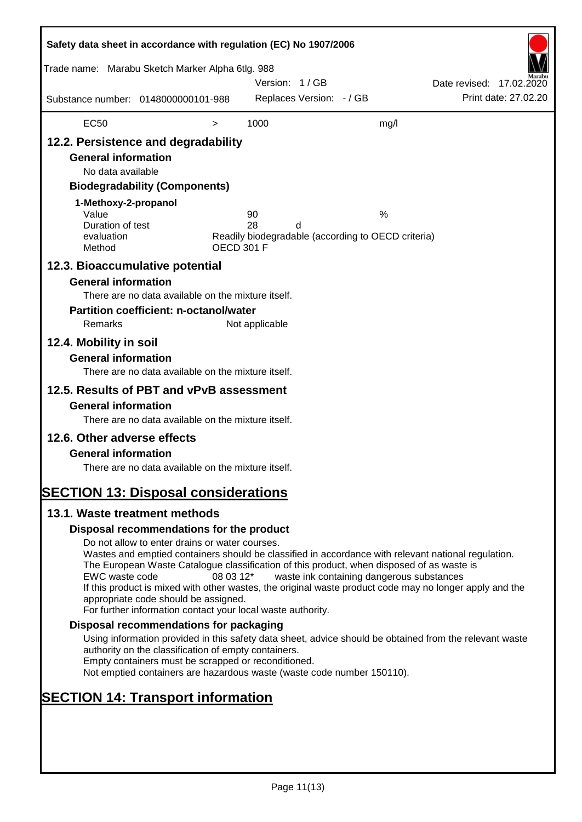| Safety data sheet in accordance with regulation (EC) No 1907/2006<br>Trade name: Marabu Sketch Marker Alpha 6tlg. 988                                               |                                                                                                                                                                                                                                                                                                                                                                                                                                                                      |                   | Version: 1/GB  |                          |                                                         | Date revised: 17.02.2020 |                      |
|---------------------------------------------------------------------------------------------------------------------------------------------------------------------|----------------------------------------------------------------------------------------------------------------------------------------------------------------------------------------------------------------------------------------------------------------------------------------------------------------------------------------------------------------------------------------------------------------------------------------------------------------------|-------------------|----------------|--------------------------|---------------------------------------------------------|--------------------------|----------------------|
| Substance number: 0148000000101-988                                                                                                                                 |                                                                                                                                                                                                                                                                                                                                                                                                                                                                      |                   |                | Replaces Version: - / GB |                                                         |                          | Print date: 27.02.20 |
| <b>EC50</b>                                                                                                                                                         |                                                                                                                                                                                                                                                                                                                                                                                                                                                                      | $\, > \,$         | 1000           |                          | mg/l                                                    |                          |                      |
| 12.2. Persistence and degradability<br><b>General information</b><br>No data available<br>1-Methoxy-2-propanol<br>Value<br>Duration of test<br>evaluation<br>Method | <b>Biodegradability (Components)</b>                                                                                                                                                                                                                                                                                                                                                                                                                                 | <b>OECD 301 F</b> | 90<br>28       | d                        | %<br>Readily biodegradable (according to OECD criteria) |                          |                      |
| 12.3. Bioaccumulative potential                                                                                                                                     |                                                                                                                                                                                                                                                                                                                                                                                                                                                                      |                   |                |                          |                                                         |                          |                      |
| <b>General information</b><br>Remarks                                                                                                                               | There are no data available on the mixture itself.<br><b>Partition coefficient: n-octanol/water</b>                                                                                                                                                                                                                                                                                                                                                                  |                   | Not applicable |                          |                                                         |                          |                      |
| 12.4. Mobility in soil<br><b>General information</b>                                                                                                                | There are no data available on the mixture itself.                                                                                                                                                                                                                                                                                                                                                                                                                   |                   |                |                          |                                                         |                          |                      |
| 12.5. Results of PBT and vPvB assessment<br><b>General information</b><br>12.6. Other adverse effects<br><b>General information</b>                                 | There are no data available on the mixture itself.<br>There are no data available on the mixture itself.                                                                                                                                                                                                                                                                                                                                                             |                   |                |                          |                                                         |                          |                      |
| <b>SECTION 13: Disposal considerations</b><br>13.1. Waste treatment methods                                                                                         |                                                                                                                                                                                                                                                                                                                                                                                                                                                                      |                   |                |                          |                                                         |                          |                      |
|                                                                                                                                                                     | Disposal recommendations for the product                                                                                                                                                                                                                                                                                                                                                                                                                             |                   |                |                          |                                                         |                          |                      |
| EWC waste code                                                                                                                                                      | Do not allow to enter drains or water courses.<br>Wastes and emptied containers should be classified in accordance with relevant national regulation.<br>The European Waste Catalogue classification of this product, when disposed of as waste is<br>If this product is mixed with other wastes, the original waste product code may no longer apply and the<br>appropriate code should be assigned.<br>For further information contact your local waste authority. | 08 03 12*         |                |                          | waste ink containing dangerous substances               |                          |                      |
|                                                                                                                                                                     | Disposal recommendations for packaging                                                                                                                                                                                                                                                                                                                                                                                                                               |                   |                |                          |                                                         |                          |                      |
|                                                                                                                                                                     | Using information provided in this safety data sheet, advice should be obtained from the relevant waste<br>authority on the classification of empty containers.<br>Empty containers must be scrapped or reconditioned.<br>Not emptied containers are hazardous waste (waste code number 150110).                                                                                                                                                                     |                   |                |                          |                                                         |                          |                      |
| <b>SECTION 14: Transport information</b>                                                                                                                            |                                                                                                                                                                                                                                                                                                                                                                                                                                                                      |                   |                |                          |                                                         |                          |                      |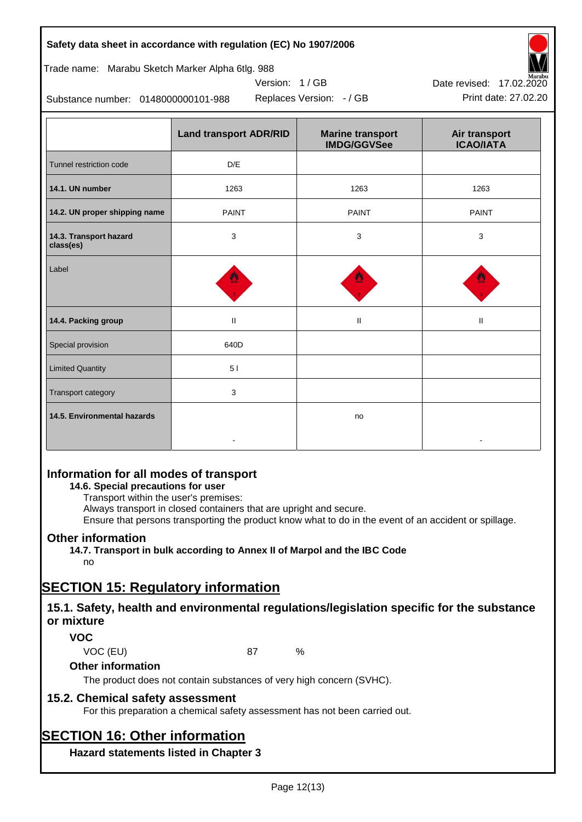| Page 12(13) |  |
|-------------|--|
|             |  |

#### **Safety data sheet in accordance with regulation (EC) No 1907/2006**

Trade name: Marabu Sketch Marker Alpha 6tlg. 988

Substance number: 0148000000101-988

|                                     | <b>Land transport ADR/RID</b> | <b>Marine transport</b><br><b>IMDG/GGVSee</b> | Air transport<br><b>ICAO/IATA</b> |
|-------------------------------------|-------------------------------|-----------------------------------------------|-----------------------------------|
| Tunnel restriction code             | D/E                           |                                               |                                   |
| 14.1. UN number                     | 1263<br>1263                  |                                               | 1263                              |
| 14.2. UN proper shipping name       | <b>PAINT</b>                  | <b>PAINT</b>                                  |                                   |
| 14.3. Transport hazard<br>class(es) | 3                             | 3                                             | 3                                 |
| Label                               |                               |                                               |                                   |
| 14.4. Packing group                 | $\mathbf{H}$                  | $\mathbf{H}$                                  | $\mathbf{H}$                      |
| Special provision                   | 640D                          |                                               |                                   |
| <b>Limited Quantity</b>             | 51                            |                                               |                                   |
| <b>Transport category</b>           | 3                             |                                               |                                   |
| 14.5. Environmental hazards         |                               | no                                            |                                   |

Version: 1 / GB

# **Information for all modes of transport**

# **14.6. Special precautions for user**

Transport within the user's premises:

Always transport in closed containers that are upright and secure.

Ensure that persons transporting the product know what to do in the event of an accident or spillage.

# **Other information**

**14.7. Transport in bulk according to Annex II of Marpol and the IBC Code** no

# **SECTION 15: Regulatory information**

# **15.1. Safety, health and environmental regulations/legislation specific for the substance or mixture**

# **VOC**

#### **Other information**

The product does not contain substances of very high concern (SVHC).

# **15.2. Chemical safety assessment**

For this preparation a chemical safety assessment has not been carried out.

# **SECTION 16: Other information**

**Hazard statements listed in Chapter 3**





VOC (EU) 87 %